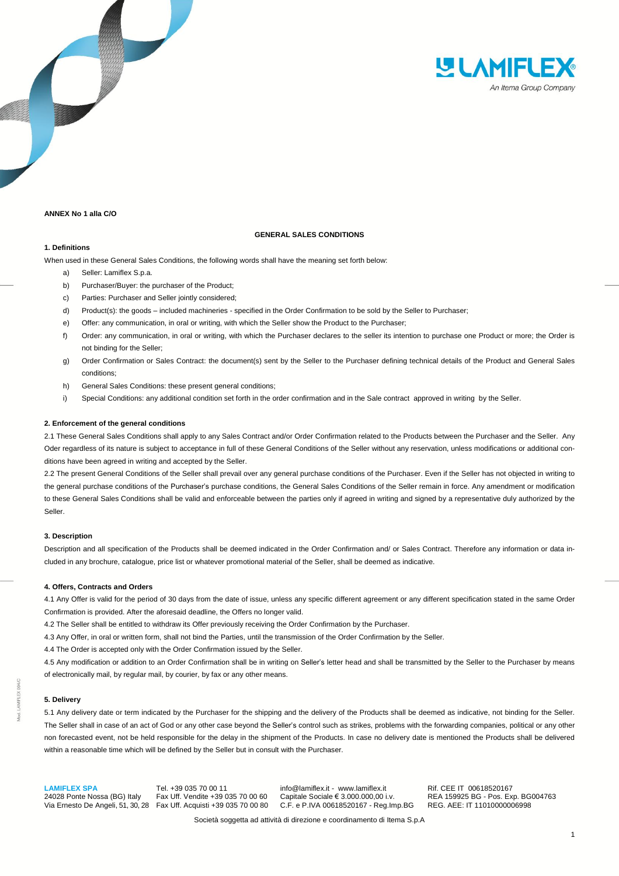

# **ANNEX No 1 alla C/O**

# **GENERAL SALES CONDITIONS**

# **1. Definitions**

When used in these General Sales Conditions, the following words shall have the meaning set forth below:

- a) Seller: Lamiflex S.p.a.
- b) Purchaser/Buyer: the purchaser of the Product;
- c) Parties: Purchaser and Seller jointly considered;
- d) Product(s): the goods included machineries specified in the Order Confirmation to be sold by the Seller to Purchaser;
- e) Offer: any communication, in oral or writing, with which the Seller show the Product to the Purchaser;
- f) Order: any communication, in oral or writing, with which the Purchaser declares to the seller its intention to purchase one Product or more; the Order is not binding for the Seller;
- g) Order Confirmation or Sales Contract: the document(s) sent by the Seller to the Purchaser defining technical details of the Product and General Sales conditions;
- h) General Sales Conditions: these present general conditions;
- i) Special Conditions: any additional condition set forth in the order confirmation and in the Sale contract approved in writing by the Seller.

### **2. Enforcement of the general conditions**

2.1 These General Sales Conditions shall apply to any Sales Contract and/or Order Confirmation related to the Products between the Purchaser and the Seller. Any Oder regardless of its nature is subject to acceptance in full of these General Conditions of the Seller without any reservation, unless modifications or additional conditions have been agreed in writing and accepted by the Seller.

2.2 The present General Conditions of the Seller shall prevail over any general purchase conditions of the Purchaser. Even if the Seller has not objected in writing to the general purchase conditions of the Purchaser's purchase conditions, the General Sales Conditions of the Seller remain in force. Any amendment or modification to these General Sales Conditions shall be valid and enforceable between the parties only if agreed in writing and signed by a representative duly authorized by the Seller.

## **3. Description**

Description and all specification of the Products shall be deemed indicated in the Order Confirmation and/ or Sales Contract. Therefore any information or data included in any brochure, catalogue, price list or whatever promotional material of the Seller, shall be deemed as indicative.

## **4. Offers, Contracts and Orders**

4.1 Any Offer is valid for the period of 30 days from the date of issue, unless any specific different agreement or any different specification stated in the same Order Confirmation is provided. After the aforesaid deadline, the Offers no longer valid.

4.2 The Seller shall be entitled to withdraw its Offer previously receiving the Order Confirmation by the Purchaser.

4.3 Any Offer, in oral or written form, shall not bind the Parties, until the transmission of the Order Confirmation by the Seller.

4.4 The Order is accepted only with the Order Confirmation issued by the Seller.

4.5 Any modification or addition to an Order Confirmation shall be in writing on Seller's letter head and shall be transmitted by the Seller to the Purchaser by means of electronically mail, by regular mail, by courier, by fax or any other means.

### **5. Delivery**

5.1 Any delivery date or term indicated by the Purchaser for the shipping and the delivery of the Products shall be deemed as indicative, not binding for the Seller. The Seller shall in case of an act of God or any other case beyond the Seller's control such as strikes, problems with the forwarding companies, political or any other non forecasted event, not be held responsible for the delay in the shipment of the Products. In case no delivery date is mentioned the Products shall be delivered within a reasonable time which will be defined by the Seller but in consult with the Purchaser.

**LAMIFLEX SPA** Tel. +39 035 70 00 11 info@lamiflex.it - www.lamiflex.it Rif. CEE IT 00618520167<br>24028 Ponte Nossa (BG) Italy Fax Uff. Vendite +39 035 70 00 60 Capitale Sociale € 3.000.000,00 i.v. REA 159925 BG - Pos. Ex

C.F. e P.IVA 00618520167 - Reg.Imp.BG

24028 Ponte Nossa (BG) Italy Fax Uff. Vendite +39 035 70 00 60 Capitale Sociale € 3.000.000,00 i.v. REA 159925 BG - Pos. Exp. BG004763<br>Via Ernesto De Angeli, 51, 30, 28 Fax Uff. Acquisti +39 035 70 00 80 C.F. e P.IVA 0061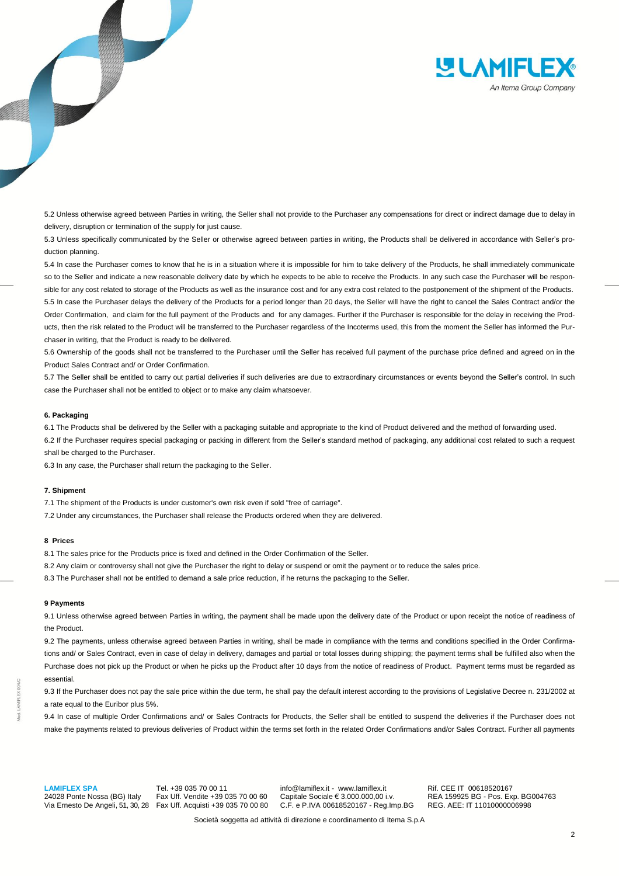

5.2 Unless otherwise agreed between Parties in writing, the Seller shall not provide to the Purchaser any compensations for direct or indirect damage due to delay in delivery, disruption or termination of the supply for just cause.

5.3 Unless specifically communicated by the Seller or otherwise agreed between parties in writing, the Products shall be delivered in accordance with Seller's production planning.

5.4 In case the Purchaser comes to know that he is in a situation where it is impossible for him to take delivery of the Products, he shall immediately communicate so to the Seller and indicate a new reasonable delivery date by which he expects to be able to receive the Products. In any such case the Purchaser will be responsible for any cost related to storage of the Products as well as the insurance cost and for any extra cost related to the postponement of the shipment of the Products. 5.5 In case the Purchaser delays the delivery of the Products for a period longer than 20 days, the Seller will have the right to cancel the Sales Contract and/or the Order Confirmation, and claim for the full payment of the Products and for any damages. Further if the Purchaser is responsible for the delay in receiving the Products, then the risk related to the Product will be transferred to the Purchaser regardless of the Incoterms used, this from the moment the Seller has informed the Purchaser in writing, that the Product is ready to be delivered.

5.6 Ownership of the goods shall not be transferred to the Purchaser until the Seller has received full payment of the purchase price defined and agreed on in the Product Sales Contract and/ or Order Confirmation.

5.7 The Seller shall be entitled to carry out partial deliveries if such deliveries are due to extraordinary circumstances or events beyond the Seller's control. In such case the Purchaser shall not be entitled to object or to make any claim whatsoever.

### **6. Packaging**

6.1 The Products shall be delivered by the Seller with a packaging suitable and appropriate to the kind of Product delivered and the method of forwarding used.

6.2 If the Purchaser requires special packaging or packing in different from the Seller's standard method of packaging, any additional cost related to such a request shall be charged to the Purchaser.

6.3 In any case, the Purchaser shall return the packaging to the Seller.

#### **7. Shipment**

7.1 The shipment of the Products is under customer's own risk even if sold "free of carriage".

7.2 Under any circumstances, the Purchaser shall release the Products ordered when they are delivered.

## **8 Prices**

8.1 The sales price for the Products price is fixed and defined in the Order Confirmation of the Seller.

8.2 Any claim or controversy shall not give the Purchaser the right to delay or suspend or omit the payment or to reduce the sales price.

8.3 The Purchaser shall not be entitled to demand a sale price reduction, if he returns the packaging to the Seller.

#### **9 Payments**

9.1 Unless otherwise agreed between Parties in writing, the payment shall be made upon the delivery date of the Product or upon receipt the notice of readiness of the Product.

9.2 The payments, unless otherwise agreed between Parties in writing, shall be made in compliance with the terms and conditions specified in the Order Confirmations and/ or Sales Contract, even in case of delay in delivery, damages and partial or total losses during shipping; the payment terms shall be fulfilled also when the Purchase does not pick up the Product or when he picks up the Product after 10 days from the notice of readiness of Product. Payment terms must be regarded as essential.

9.3 If the Purchaser does not pay the sale price within the due term, he shall pay the default interest according to the provisions of Legislative Decree n. 231/2002 at a rate equal to the Euribor plus 5%.

9.4 In case of multiple Order Confirmations and/ or Sales Contracts for Products, the Seller shall be entitled to suspend the deliveries if the Purchaser does not make the payments related to previous deliveries of Product within the terms set forth in the related Order Confirmations and/or Sales Contract. Further all payments

**LAMIFLEX SPA** Tel. +39 035 70 00 11 info@lamiflex.it - www.lamiflex.it Rif. CEE IT 00618520167<br>24028 Ponte Nossa (BG) Italy Fax Uff. Vendite +39 035 70 00 60 Capitale Sociale € 3.000.000,00 i.v. REA 159925 BG - Pos. Ex

Fax Uff. Acquisti +39 035 70 00 80

24028 Ponte Nossa (BG) Italy Fax Uff. Vendite +39 035 70 00 60 Capitale Sociale € 3.000.000,00 i.v. REA 159925 BG - Pos. Exp. BG004763<br>Via Ernesto De Angeli, 51, 30, 28 Fax Uff. Acquisti +39 035 70 00 80 C.F. e P.IVA 0061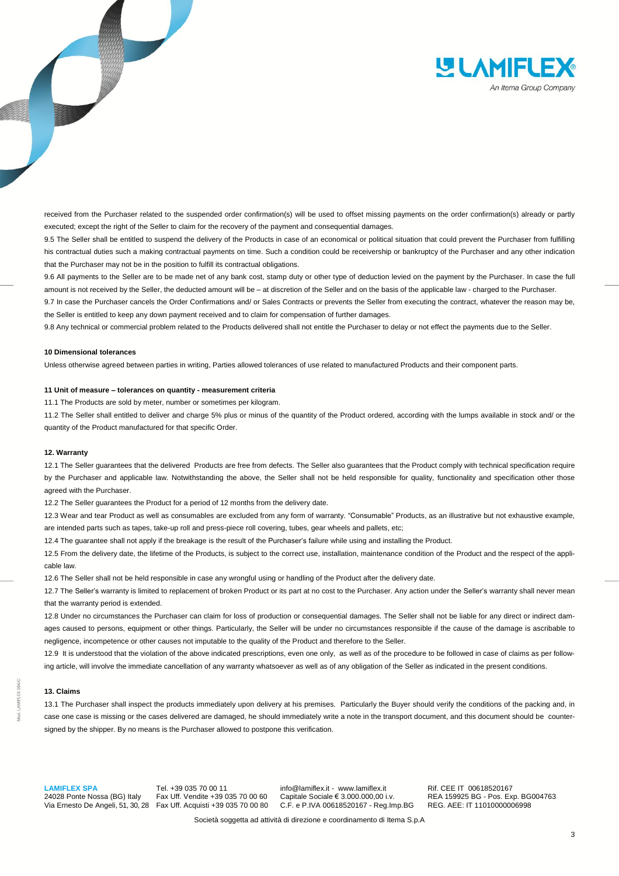

received from the Purchaser related to the suspended order confirmation(s) will be used to offset missing payments on the order confirmation(s) already or partly executed; except the right of the Seller to claim for the recovery of the payment and consequential damages.

9.5 The Seller shall be entitled to suspend the delivery of the Products in case of an economical or political situation that could prevent the Purchaser from fulfilling his contractual duties such a making contractual payments on time. Such a condition could be receivership or bankruptcy of the Purchaser and any other indication that the Purchaser may not be in the position to fulfill its contractual obligations.

9.6 All payments to the Seller are to be made net of any bank cost, stamp duty or other type of deduction levied on the payment by the Purchaser. In case the full amount is not received by the Seller, the deducted amount will be – at discretion of the Seller and on the basis of the applicable law - charged to the Purchaser.

9.7 In case the Purchaser cancels the Order Confirmations and/ or Sales Contracts or prevents the Seller from executing the contract, whatever the reason may be, the Seller is entitled to keep any down payment received and to claim for compensation of further damages.

9.8 Any technical or commercial problem related to the Products delivered shall not entitle the Purchaser to delay or not effect the payments due to the Seller.

#### **10 Dimensional tolerances**

Unless otherwise agreed between parties in writing, Parties allowed tolerances of use related to manufactured Products and their component parts.

## **11 Unit of measure – tolerances on quantity - measurement criteria**

11.1 The Products are sold by meter, number or sometimes per kilogram.

11.2 The Seller shall entitled to deliver and charge 5% plus or minus of the quantity of the Product ordered, according with the lumps available in stock and/ or the quantity of the Product manufactured for that specific Order.

## **12. Warranty**

12.1 The Seller guarantees that the delivered Products are free from defects. The Seller also guarantees that the Product comply with technical specification require by the Purchaser and applicable law. Notwithstanding the above, the Seller shall not be held responsible for quality, functionality and specification other those agreed with the Purchaser.

12.2 The Seller guarantees the Product for a period of 12 months from the delivery date.

12.3 Wear and tear Product as well as consumables are excluded from any form of warranty. "Consumable" Products, as an illustrative but not exhaustive example, are intended parts such as tapes, take-up roll and press-piece roll covering, tubes, gear wheels and pallets, etc;

12.4 The guarantee shall not apply if the breakage is the result of the Purchaser's failure while using and installing the Product.

12.5 From the delivery date, the lifetime of the Products, is subject to the correct use, installation, maintenance condition of the Product and the respect of the applicable law.

12.6 The Seller shall not be held responsible in case any wrongful using or handling of the Product after the delivery date.

12.7 The Seller's warranty is limited to replacement of broken Product or its part at no cost to the Purchaser. Any action under the Seller's warranty shall never mean that the warranty period is extended.

12.8 Under no circumstances the Purchaser can claim for loss of production or consequential damages. The Seller shall not be liable for any direct or indirect damages caused to persons, equipment or other things. Particularly, the Seller will be under no circumstances responsible if the cause of the damage is ascribable to negligence, incompetence or other causes not imputable to the quality of the Product and therefore to the Seller.

12.9 It is understood that the violation of the above indicated prescriptions, even one only, as well as of the procedure to be followed in case of claims as per following article, will involve the immediate cancellation of any warranty whatsoever as well as of any obligation of the Seller as indicated in the present conditions.

## **13. Claims**

13.1 The Purchaser shall inspect the products immediately upon delivery at his premises. Particularly the Buyer should verify the conditions of the packing and, in case one case is missing or the cases delivered are damaged, he should immediately write a note in the transport document, and this document should be countersigned by the shipper. By no means is the Purchaser allowed to postpone this verification.

Fax Uff. Acquisti +39 035 70 00 80

**LAMIFLEX SPA** Tel. +39 035 70 00 11 info@lamiflex.it - www.lamiflex.it Rif. CEE IT 00618520167<br>24028 Ponte Nossa (BG) Italy Fax Uff. Vendite +39 035 70 00 60 Capitale Sociale € 3.000.000,00 i.v. REA 159925 BG - Pos. Ex 24028 Ponte Nossa (BG) Italy Fax Uff. Vendite +39 035 70 00 60 Capitale Sociale € 3.000.000,00 i.v. REA 159925 BG - Pos. Exp. BG004763<br>Via Ernesto De Angeli, 51, 30, 28 Fax Uff. Acquisti +39 035 70 00 80 C.F. e P.IVA 0061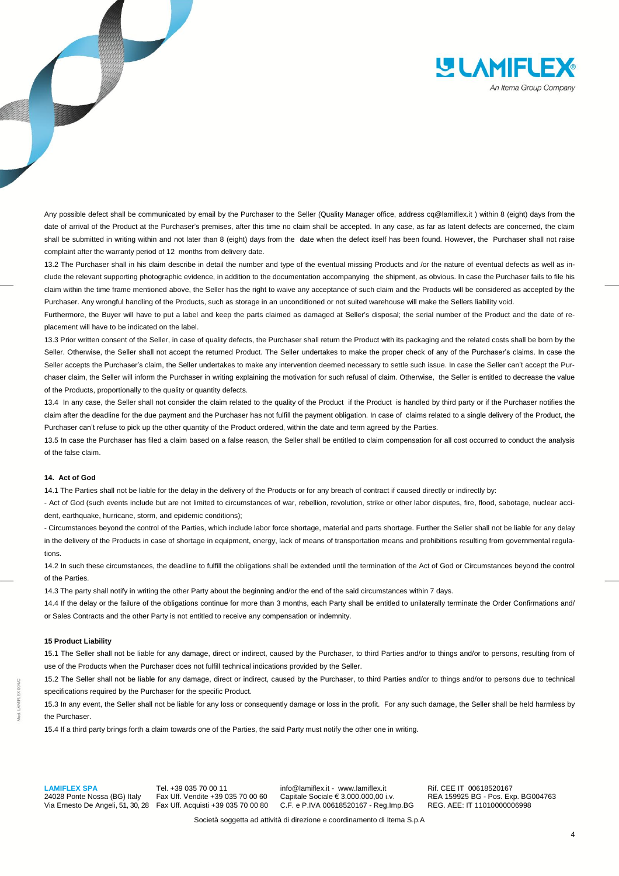

Any possible defect shall be communicated by email by the Purchaser to the Seller (Quality Manager office, address cq@lamiflex.it ) within 8 (eight) days from the date of arrival of the Product at the Purchaser's premises, after this time no claim shall be accepted. In any case, as far as latent defects are concerned, the claim shall be submitted in writing within and not later than 8 (eight) days from the date when the defect itself has been found. However, the Purchaser shall not raise complaint after the warranty period of 12 months from delivery date.

13.2 The Purchaser shall in his claim describe in detail the number and type of the eventual missing Products and /or the nature of eventual defects as well as include the relevant supporting photographic evidence, in addition to the documentation accompanying the shipment, as obvious. In case the Purchaser fails to file his claim within the time frame mentioned above, the Seller has the right to waive any acceptance of such claim and the Products will be considered as accepted by the Purchaser. Any wrongful handling of the Products, such as storage in an unconditioned or not suited warehouse will make the Sellers liability void.

Furthermore, the Buyer will have to put a label and keep the parts claimed as damaged at Seller's disposal; the serial number of the Product and the date of replacement will have to be indicated on the label.

13.3 Prior written consent of the Seller, in case of quality defects, the Purchaser shall return the Product with its packaging and the related costs shall be born by the Seller. Otherwise, the Seller shall not accept the returned Product. The Seller undertakes to make the proper check of any of the Purchaser's claims. In case the Seller accepts the Purchaser's claim, the Seller undertakes to make any intervention deemed necessary to settle such issue. In case the Seller can't accept the Purchaser claim, the Seller will inform the Purchaser in writing explaining the motivation for such refusal of claim. Otherwise, the Seller is entitled to decrease the value of the Products, proportionally to the quality or quantity defects.

13.4 In any case, the Seller shall not consider the claim related to the quality of the Product if the Product is handled by third party or if the Purchaser notifies the claim after the deadline for the due payment and the Purchaser has not fulfill the payment obligation. In case of claims related to a single delivery of the Product, the Purchaser can't refuse to pick up the other quantity of the Product ordered, within the date and term agreed by the Parties.

13.5 In case the Purchaser has filed a claim based on a false reason, the Seller shall be entitled to claim compensation for all cost occurred to conduct the analysis of the false claim.

#### **14. Act of God**

14.1 The Parties shall not be liable for the delay in the delivery of the Products or for any breach of contract if caused directly or indirectly by:

- Act of God (such events include but are not limited to circumstances of war, rebellion, revolution, strike or other labor disputes, fire, flood, sabotage, nuclear accident, earthquake, hurricane, storm, and epidemic conditions);

- Circumstances beyond the control of the Parties, which include labor force shortage, material and parts shortage. Further the Seller shall not be liable for any delay in the delivery of the Products in case of shortage in equipment, energy, lack of means of transportation means and prohibitions resulting from governmental regulations.

14.2 In such these circumstances, the deadline to fulfill the obligations shall be extended until the termination of the Act of God or Circumstances beyond the control of the Parties.

14.3 The party shall notify in writing the other Party about the beginning and/or the end of the said circumstances within 7 days.

14.4 If the delay or the failure of the obligations continue for more than 3 months, each Party shall be entitled to unilaterally terminate the Order Confirmations and/ or Sales Contracts and the other Party is not entitled to receive any compensation or indemnity.

## **15 Product Liability**

15.1 The Seller shall not be liable for any damage, direct or indirect, caused by the Purchaser, to third Parties and/or to things and/or to persons, resulting from of use of the Products when the Purchaser does not fulfill technical indications provided by the Seller.

15.2 The Seller shall not be liable for any damage, direct or indirect, caused by the Purchaser, to third Parties and/or to things and/or to persons due to technical specifications required by the Purchaser for the specific Product.

15.3 In any event, the Seller shall not be liable for any loss or consequently damage or loss in the profit. For any such damage, the Seller shall be held harmless by the Purchaser.

15.4 If a third party brings forth a claim towards one of the Parties, the said Party must notify the other one in writing.

**LAMIFLEX SPA** Tel. +39 035 70 00 11 info@lamiflex.it - www.lamiflex.it Rif. CEE IT 00618520167<br>24028 Ponte Nossa (BG) Italy Fax Uff. Vendite +39 035 70 00 60 Capitale Sociale € 3.000.000,00 i.v. REA 159925 BG - Pos. Ex

24028 Ponte Nossa (BG) Italy Fax Uff. Vendite +39 035 70 00 60 Capitale Sociale € 3.000.000,00 i.v. REA 159925 BG - Pos. Exp. BG004763<br>Via Ernesto De Angeli, 51, 30, 28 Fax Uff. Acquisti +39 035 70 00 80 C.F. e P.IVA 0061 C.F. e P.IVA 00618520167 - Reg.Imp.BG